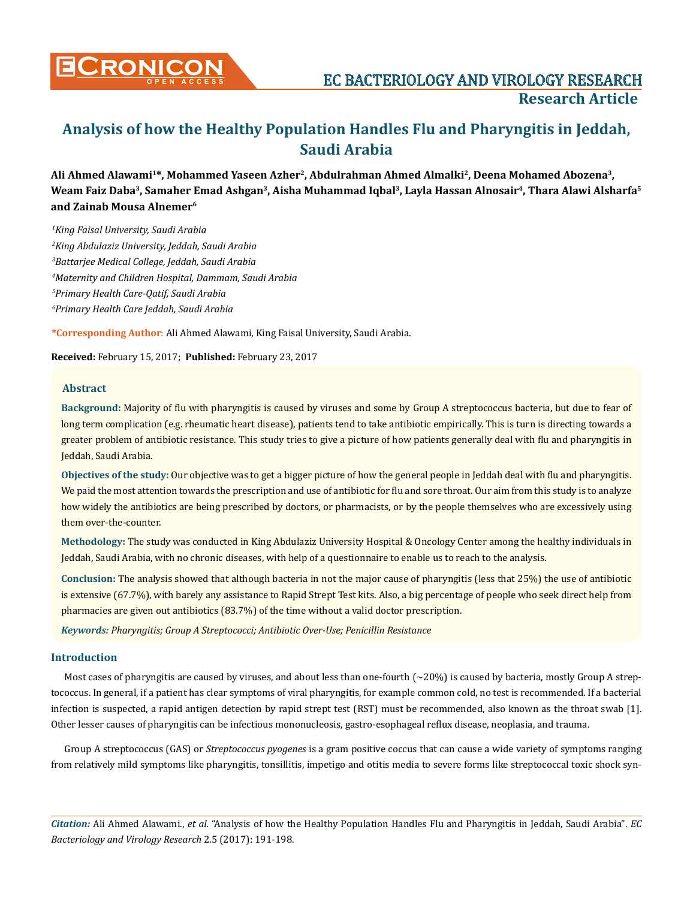

**Ali Ahmed Alawami1\*, Mohammed Yaseen Azher2, Abdulrahman Ahmed Almalki2, Deena Mohamed Abozena3, Weam Faiz Daba3, Samaher Emad Ashgan3, Aisha Muhammad Iqbal3, Layla Hassan Alnosair4, Thara Alawi Alsharfa5 and Zainab Mousa Alnemer6**

 *King Faisal University, Saudi Arabia King Abdulaziz University, Jeddah, Saudi Arabia Battarjee Medical College, Jeddah, Saudi Arabia Maternity and Children Hospital, Dammam, Saudi Arabia Primary Health Care-Qatif, Saudi Arabia Primary Health Care Jeddah, Saudi Arabia*

**\*Corresponding Author**: Ali Ahmed Alawami, King Faisal University, Saudi Arabia.

**Received:** February 15, 2017; **Published:** February 23, 2017

#### **Abstract**

**Background:** Majority of flu with pharyngitis is caused by viruses and some by Group A streptococcus bacteria, but due to fear of long term complication (e.g. rheumatic heart disease), patients tend to take antibiotic empirically. This is turn is directing towards a greater problem of antibiotic resistance. This study tries to give a picture of how patients generally deal with flu and pharyngitis in Jeddah, Saudi Arabia.

**Objectives of the study:** Our objective was to get a bigger picture of how the general people in Jeddah deal with flu and pharyngitis. We paid the most attention towards the prescription and use of antibiotic for flu and sore throat. Our aim from this study is to analyze how widely the antibiotics are being prescribed by doctors, or pharmacists, or by the people themselves who are excessively using them over-the-counter.

**Methodology:** The study was conducted in King Abdulaziz University Hospital & Oncology Center among the healthy individuals in Jeddah, Saudi Arabia, with no chronic diseases, with help of a questionnaire to enable us to reach to the analysis.

**Conclusion:** The analysis showed that although bacteria in not the major cause of pharyngitis (less that 25%) the use of antibiotic is extensive (67.7%), with barely any assistance to Rapid Strept Test kits. Also, a big percentage of people who seek direct help from pharmacies are given out antibiotics (83.7%) of the time without a valid doctor prescription.

*Keywords: Pharyngitis; Group A Streptococci; Antibiotic Over-Use; Penicillin Resistance*

## **Introduction**

Most cases of pharyngitis are caused by viruses, and about less than one-fourth  $\left(\frac{20\%}{2}\right)$  is caused by bacteria, mostly Group A streptococcus. In general, if a patient has clear symptoms of viral pharyngitis, for example common cold, no test is recommended. If a bacterial infection is suspected, a rapid antigen detection by rapid strept test (RST) must be recommended, also known as the throat swab [1]. Other lesser causes of pharyngitis can be infectious mononucleosis, gastro-esophageal reflux disease, neoplasia, and trauma.

Group A streptococcus (GAS) or *Streptococcus pyogenes* is a gram positive coccus that can cause a wide variety of symptoms ranging from relatively mild symptoms like pharyngitis, tonsillitis, impetigo and otitis media to severe forms like streptococcal toxic shock syn-

*Citation:* Ali Ahmed Alawami., *et al*. "Analysis of how the Healthy Population Handles Flu and Pharyngitis in Jeddah, Saudi Arabia". *EC Bacteriology and Virology Research* 2.5 (2017): 191-198.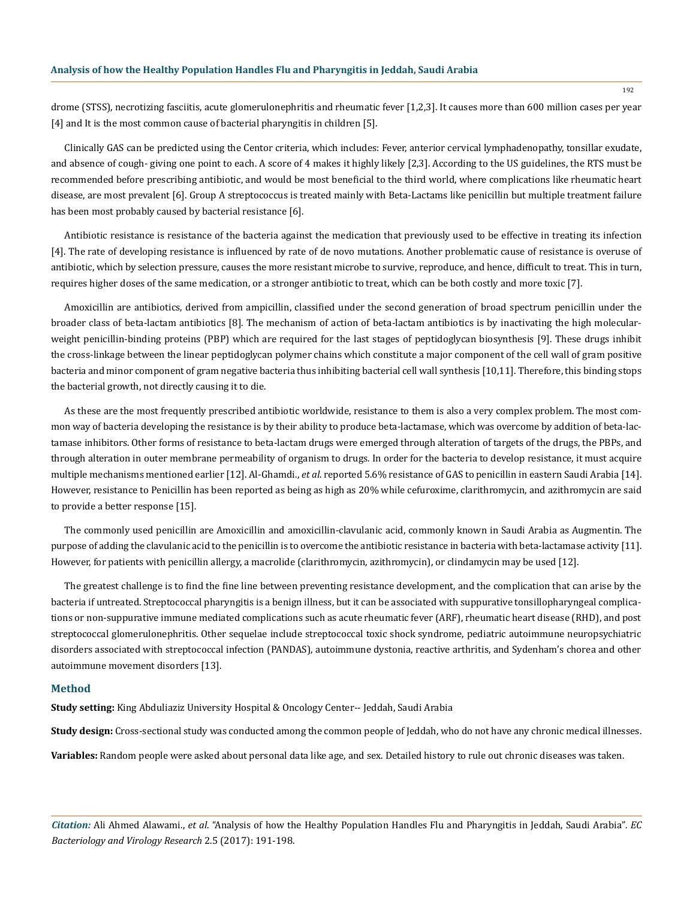drome (STSS), necrotizing fasciitis, acute glomerulonephritis and rheumatic fever [1,2,3]. It causes more than 600 million cases per year [4] and It is the most common cause of bacterial pharyngitis in children [5].

Clinically GAS can be predicted using the Centor criteria, which includes: Fever, anterior cervical lymphadenopathy, tonsillar exudate, and absence of cough- giving one point to each. A score of 4 makes it highly likely [2,3]. According to the US guidelines, the RTS must be recommended before prescribing antibiotic, and would be most beneficial to the third world, where complications like rheumatic heart disease, are most prevalent [6]. Group A streptococcus is treated mainly with Beta-Lactams like penicillin but multiple treatment failure has been most probably caused by bacterial resistance [6].

Antibiotic resistance is resistance of the bacteria against the medication that previously used to be effective in treating its infection [4]. The rate of developing resistance is influenced by rate of de novo mutations. Another problematic cause of resistance is overuse of antibiotic, which by selection pressure, causes the more resistant microbe to survive, reproduce, and hence, difficult to treat. This in turn, requires higher doses of the same medication, or a stronger antibiotic to treat, which can be both costly and more toxic [7].

Amoxicillin are antibiotics, derived from ampicillin, classified under the second generation of broad spectrum penicillin under the broader class of beta-lactam antibiotics [8]. The mechanism of action of beta-lactam antibiotics is by inactivating the high molecularweight penicillin-binding proteins (PBP) which are required for the last stages of peptidoglycan biosynthesis [9]. These drugs inhibit the cross-linkage between the linear peptidoglycan polymer chains which constitute a major component of the cell wall of gram positive bacteria and minor component of gram negative bacteria thus inhibiting bacterial cell wall synthesis [10,11]. Therefore, this binding stops the bacterial growth, not directly causing it to die.

As these are the most frequently prescribed antibiotic worldwide, resistance to them is also a very complex problem. The most common way of bacteria developing the resistance is by their ability to produce beta-lactamase, which was overcome by addition of beta-lactamase inhibitors. Other forms of resistance to beta-lactam drugs were emerged through alteration of targets of the drugs, the PBPs, and through alteration in outer membrane permeability of organism to drugs. In order for the bacteria to develop resistance, it must acquire multiple mechanisms mentioned earlier [12]. Al-Ghamdi., *et al*. reported 5.6% resistance of GAS to penicillin in eastern Saudi Arabia [14]. However, resistance to Penicillin has been reported as being as high as 20% while cefuroxime, clarithromycin, and azithromycin are said to provide a better response [15].

The commonly used penicillin are Amoxicillin and amoxicillin-clavulanic acid, commonly known in Saudi Arabia as Augmentin. The purpose of adding the clavulanic acid to the penicillin is to overcome the antibiotic resistance in bacteria with beta-lactamase activity [11]. However, for patients with penicillin allergy, a macrolide (clarithromycin, azithromycin), or clindamycin may be used [12].

The greatest challenge is to find the fine line between preventing resistance development, and the complication that can arise by the bacteria if untreated. Streptococcal pharyngitis is a benign illness, but it can be associated with suppurative tonsillopharyngeal complications or non-suppurative immune mediated complications such as acute rheumatic fever (ARF), rheumatic heart disease (RHD), and post streptococcal glomerulonephritis. Other sequelae include streptococcal toxic shock syndrome, pediatric autoimmune neuropsychiatric disorders associated with streptococcal infection (PANDAS), autoimmune dystonia, reactive arthritis, and Sydenham's chorea and other autoimmune movement disorders [13].

#### **Method**

**Study setting:** King Abduliaziz University Hospital & Oncology Center-- Jeddah, Saudi Arabia

**Study design:** Cross-sectional study was conducted among the common people of Jeddah, who do not have any chronic medical illnesses.

**Variables:** Random people were asked about personal data like age, and sex. Detailed history to rule out chronic diseases was taken.

*Citation:* Ali Ahmed Alawami., *et al*. "Analysis of how the Healthy Population Handles Flu and Pharyngitis in Jeddah, Saudi Arabia". *EC Bacteriology and Virology Research* 2.5 (2017): 191-198.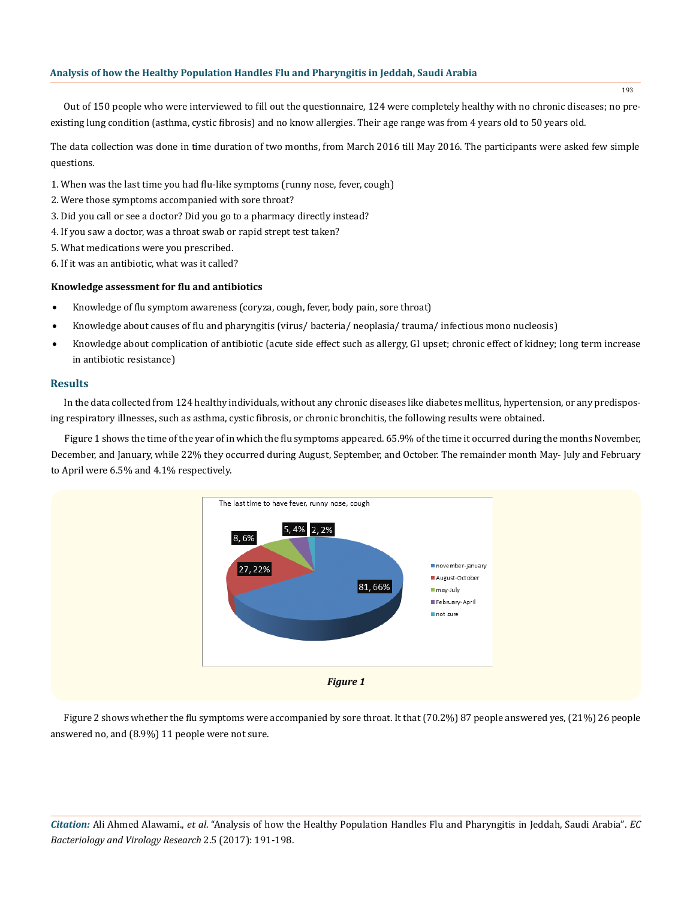Out of 150 people who were interviewed to fill out the questionnaire, 124 were completely healthy with no chronic diseases; no preexisting lung condition (asthma, cystic fibrosis) and no know allergies. Their age range was from 4 years old to 50 years old.

The data collection was done in time duration of two months, from March 2016 till May 2016. The participants were asked few simple questions.

- 1. When was the last time you had flu-like symptoms (runny nose, fever, cough)
- 2. Were those symptoms accompanied with sore throat?
- 3. Did you call or see a doctor? Did you go to a pharmacy directly instead?
- 4. If you saw a doctor, was a throat swab or rapid strept test taken?
- 5. What medications were you prescribed.
- 6. If it was an antibiotic, what was it called?

#### **Knowledge assessment for flu and antibiotics**

- Knowledge of flu symptom awareness (coryza, cough, fever, body pain, sore throat)
- Knowledge about causes of flu and pharyngitis (virus/ bacteria/ neoplasia/ trauma/ infectious mono nucleosis)
- Knowledge about complication of antibiotic (acute side effect such as allergy, GI upset; chronic effect of kidney; long term increase in antibiotic resistance)

#### **Results**

In the data collected from 124 healthy individuals, without any chronic diseases like diabetes mellitus, hypertension, or any predisposing respiratory illnesses, such as asthma, cystic fibrosis, or chronic bronchitis, the following results were obtained.

Figure 1 shows the time of the year of in which the flu symptoms appeared. 65.9% of the time it occurred during the months November, December, and January, while 22% they occurred during August, September, and October. The remainder month May- July and February to April were 6.5% and 4.1% respectively.



Figure 2 shows whether the flu symptoms were accompanied by sore throat. It that (70.2%) 87 people answered yes, (21%) 26 people answered no, and (8.9%) 11 people were not sure.

*Citation:* Ali Ahmed Alawami., *et al*. "Analysis of how the Healthy Population Handles Flu and Pharyngitis in Jeddah, Saudi Arabia". *EC Bacteriology and Virology Research* 2.5 (2017): 191-198.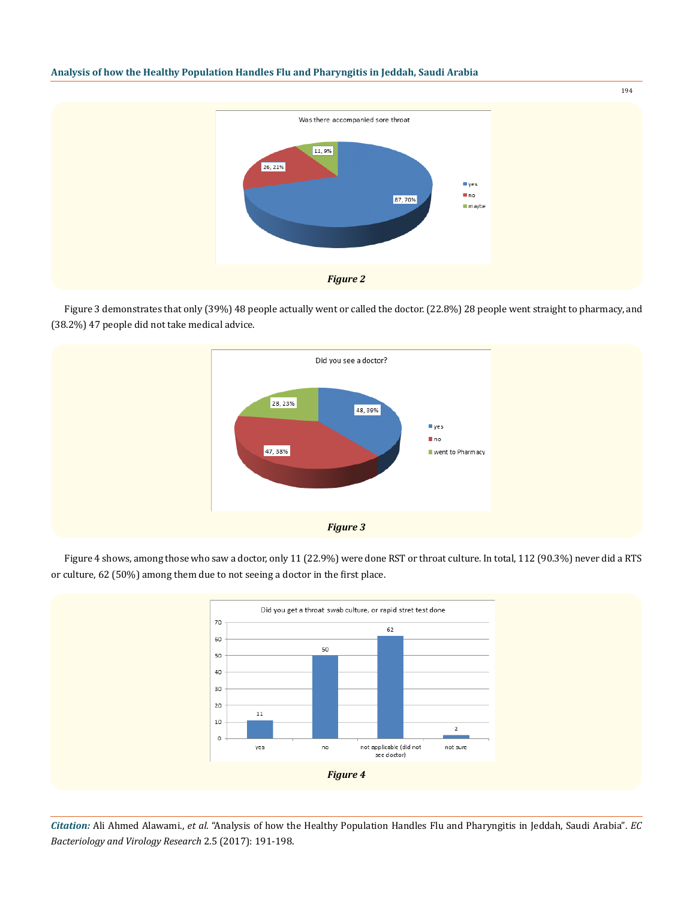

Figure 3 demonstrates that only (39%) 48 people actually went or called the doctor. (22.8%) 28 people went straight to pharmacy, and (38.2%) 47 people did not take medical advice.



Figure 4 shows, among those who saw a doctor, only 11 (22.9%) were done RST or throat culture. In total, 112 (90.3%) never did a RTS or culture, 62 (50%) among them due to not seeing a doctor in the first place.



*Citation:* Ali Ahmed Alawami., *et al*. "Analysis of how the Healthy Population Handles Flu and Pharyngitis in Jeddah, Saudi Arabia". *EC Bacteriology and Virology Research* 2.5 (2017): 191-198.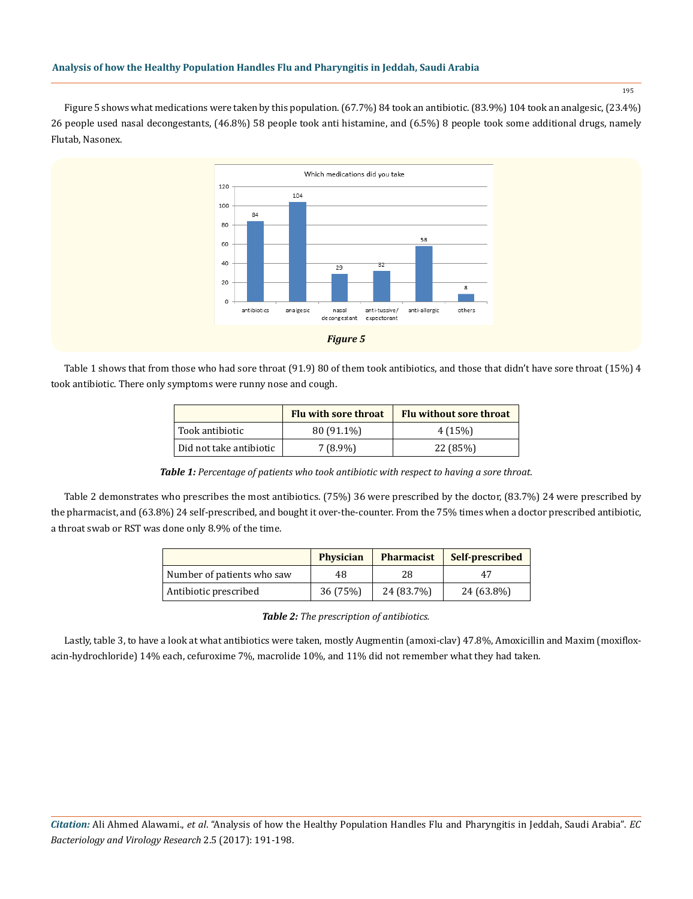195

Figure 5 shows what medications were taken by this population. (67.7%) 84 took an antibiotic. (83.9%) 104 took an analgesic, (23.4%) 26 people used nasal decongestants, (46.8%) 58 people took anti histamine, and (6.5%) 8 people took some additional drugs, namely Flutab, Nasonex.



Table 1 shows that from those who had sore throat (91.9) 80 of them took antibiotics, and those that didn't have sore throat (15%) 4 took antibiotic. There only symptoms were runny nose and cough.

|                         | Flu with sore throat | <b>Flu without sore throat</b> |
|-------------------------|----------------------|--------------------------------|
| Took antibiotic         | 80 (91.1%)           | 4(15%)                         |
| Did not take antibiotic | $7(8.9\%)$           | 22 (85%)                       |

*Table 1: Percentage of patients who took antibiotic with respect to having a sore throat.*

Table 2 demonstrates who prescribes the most antibiotics. (75%) 36 were prescribed by the doctor, (83.7%) 24 were prescribed by the pharmacist, and (63.8%) 24 self-prescribed, and bought it over-the-counter. From the 75% times when a doctor prescribed antibiotic, a throat swab or RST was done only 8.9% of the time.

|                            | <b>Physician</b> | <b>Pharmacist</b> | Self-prescribed |
|----------------------------|------------------|-------------------|-----------------|
| Number of patients who saw | 48               | 28                | 47              |
| Antibiotic prescribed      | 36 (75%)         | 24 (83.7%)        | 24 (63.8%)      |

*Table 2: The prescription of antibiotics.*

Lastly, table 3, to have a look at what antibiotics were taken, mostly Augmentin (amoxi-clav) 47.8%, Amoxicillin and Maxim (moxifloxacin-hydrochloride) 14% each, cefuroxime 7%, macrolide 10%, and 11% did not remember what they had taken.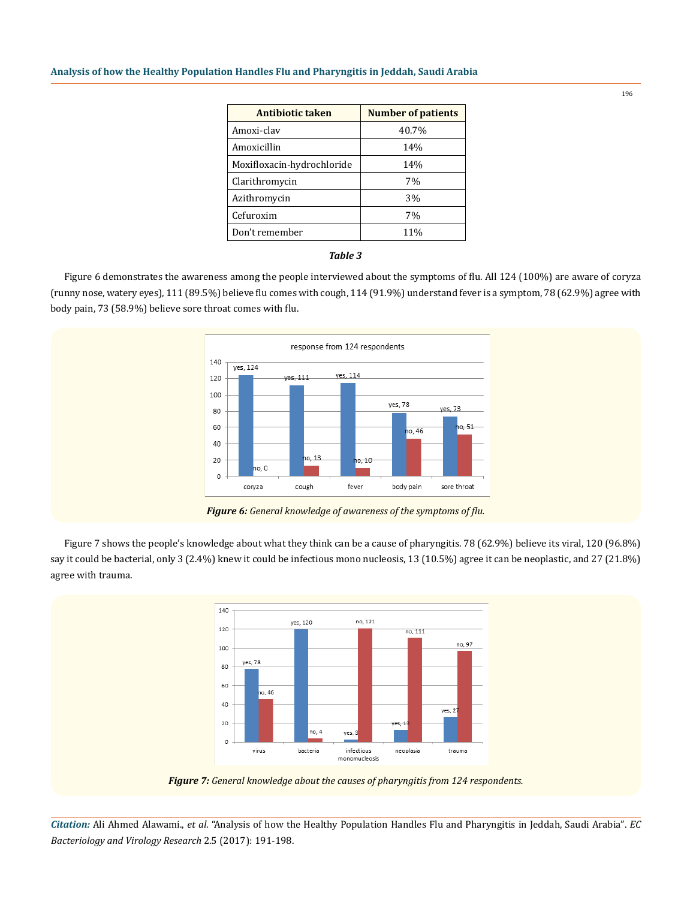| Antibiotic taken           | <b>Number of patients</b> |  |
|----------------------------|---------------------------|--|
| Amoxi-clay                 | 40.7%                     |  |
| Amoxicillin                | 14%                       |  |
| Moxifloxacin-hydrochloride | 14%                       |  |
| Clarithromycin             | 7%                        |  |
| Azithromycin               | 3%                        |  |
| Cefuroxim                  | 7%                        |  |
| Don't remember             | 11%                       |  |

#### *Table 3*

Figure 6 demonstrates the awareness among the people interviewed about the symptoms of flu. All 124 (100%) are aware of coryza (runny nose, watery eyes), 111 (89.5%) believe flu comes with cough, 114 (91.9%) understand fever is a symptom, 78 (62.9%) agree with body pain, 73 (58.9%) believe sore throat comes with flu.



*Figure 6: General knowledge of awareness of the symptoms of flu.*

Figure 7 shows the people's knowledge about what they think can be a cause of pharyngitis. 78 (62.9%) believe its viral, 120 (96.8%) say it could be bacterial, only 3 (2.4%) knew it could be infectious mono nucleosis, 13 (10.5%) agree it can be neoplastic, and 27 (21.8%) agree with trauma.



*Figure 7: General knowledge about the causes of pharyngitis from 124 respondents.*

*Citation:* Ali Ahmed Alawami., *et al*. "Analysis of how the Healthy Population Handles Flu and Pharyngitis in Jeddah, Saudi Arabia". *EC Bacteriology and Virology Research* 2.5 (2017): 191-198.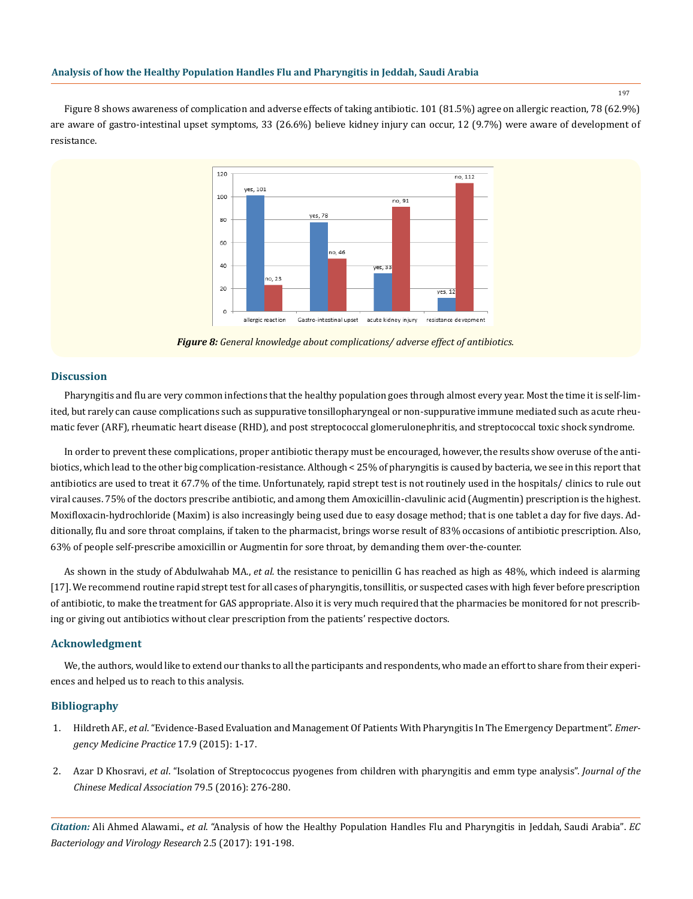197

Figure 8 shows awareness of complication and adverse effects of taking antibiotic. 101 (81.5%) agree on allergic reaction, 78 (62.9%) are aware of gastro-intestinal upset symptoms, 33 (26.6%) believe kidney injury can occur, 12 (9.7%) were aware of development of resistance.



*Figure 8: General knowledge about complications/ adverse effect of antibiotics.*

#### **Discussion**

Pharyngitis and flu are very common infections that the healthy population goes through almost every year. Most the time it is self-limited, but rarely can cause complications such as suppurative tonsillopharyngeal or non-suppurative immune mediated such as acute rheumatic fever (ARF), rheumatic heart disease (RHD), and post streptococcal glomerulonephritis, and streptococcal toxic shock syndrome.

In order to prevent these complications, proper antibiotic therapy must be encouraged, however, the results show overuse of the antibiotics, which lead to the other big complication-resistance. Although < 25% of pharyngitis is caused by bacteria, we see in this report that antibiotics are used to treat it 67.7% of the time. Unfortunately, rapid strept test is not routinely used in the hospitals/ clinics to rule out viral causes. 75% of the doctors prescribe antibiotic, and among them Amoxicillin-clavulinic acid (Augmentin) prescription is the highest. Moxifloxacin-hydrochloride (Maxim) is also increasingly being used due to easy dosage method; that is one tablet a day for five days. Additionally, flu and sore throat complains, if taken to the pharmacist, brings worse result of 83% occasions of antibiotic prescription. Also, 63% of people self-prescribe amoxicillin or Augmentin for sore throat, by demanding them over-the-counter.

As shown in the study of Abdulwahab MA., *et al.* the resistance to penicillin G has reached as high as 48%, which indeed is alarming [17]. We recommend routine rapid strept test for all cases of pharyngitis, tonsillitis, or suspected cases with high fever before prescription of antibiotic, to make the treatment for GAS appropriate. Also it is very much required that the pharmacies be monitored for not prescribing or giving out antibiotics without clear prescription from the patients' respective doctors.

#### **Acknowledgment**

We, the authors, would like to extend our thanks to all the participants and respondents, who made an effort to share from their experiences and helped us to reach to this analysis.

#### **Bibliography**

- 1. Hildreth AF., *et al*[. "Evidence-Based Evaluation and Management Of Patients With Pharyngitis In The Emergency Department".](https://www.ncbi.nlm.nih.gov/pubmed/26276908) *Emer[gency Medicine Practice](https://www.ncbi.nlm.nih.gov/pubmed/26276908)* 17.9 (2015): 1-17.
- 2. Azar D Khosravi, *et al*[. "Isolation of Streptococcus pyogenes from children with pharyngitis and emm type analysis".](https://www.ncbi.nlm.nih.gov/pubmed/26874680) *Journal of the [Chinese Medical Association](https://www.ncbi.nlm.nih.gov/pubmed/26874680)* 79.5 (2016): 276-280.

*Citation:* Ali Ahmed Alawami., *et al*. "Analysis of how the Healthy Population Handles Flu and Pharyngitis in Jeddah, Saudi Arabia". *EC Bacteriology and Virology Research* 2.5 (2017): 191-198.